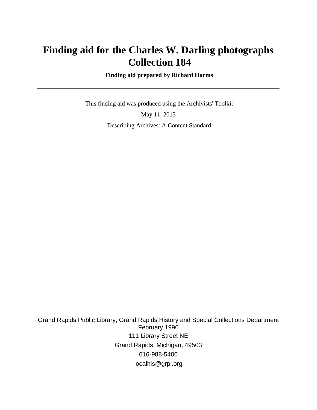# **Finding aid for the Charles W. Darling photographs Collection 184**

 **Finding aid prepared by Richard Harms**

 This finding aid was produced using the Archivists' Toolkit May 11, 2013 Describing Archives: A Content Standard

Grand Rapids Public Library, Grand Rapids History and Special Collections Department February 1996 111 Library Street NE Grand Rapids, Michigan, 49503 616-988-5400 localhis@grpl.org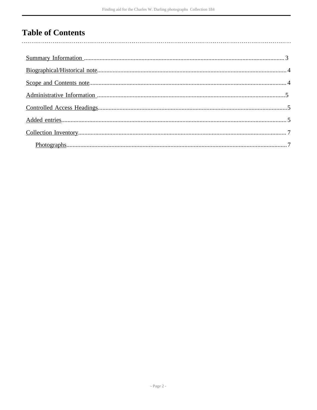## **Table of Contents**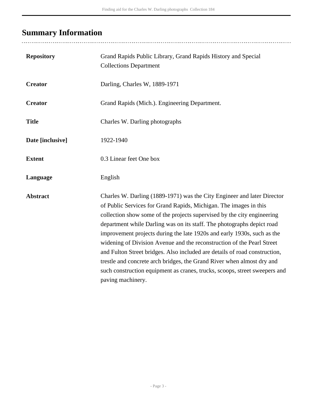# <span id="page-2-0"></span>**Summary Information**

..................................

| <b>Repository</b> | Grand Rapids Public Library, Grand Rapids History and Special<br><b>Collections Department</b>                                                                                                                                                                                                                                                                                                                                                                                                                                                                                                                                                                                                                    |
|-------------------|-------------------------------------------------------------------------------------------------------------------------------------------------------------------------------------------------------------------------------------------------------------------------------------------------------------------------------------------------------------------------------------------------------------------------------------------------------------------------------------------------------------------------------------------------------------------------------------------------------------------------------------------------------------------------------------------------------------------|
| <b>Creator</b>    | Darling, Charles W, 1889-1971                                                                                                                                                                                                                                                                                                                                                                                                                                                                                                                                                                                                                                                                                     |
| <b>Creator</b>    | Grand Rapids (Mich.). Engineering Department.                                                                                                                                                                                                                                                                                                                                                                                                                                                                                                                                                                                                                                                                     |
| <b>Title</b>      | Charles W. Darling photographs                                                                                                                                                                                                                                                                                                                                                                                                                                                                                                                                                                                                                                                                                    |
| Date [inclusive]  | 1922-1940                                                                                                                                                                                                                                                                                                                                                                                                                                                                                                                                                                                                                                                                                                         |
| <b>Extent</b>     | 0.3 Linear feet One box                                                                                                                                                                                                                                                                                                                                                                                                                                                                                                                                                                                                                                                                                           |
| Language          | English                                                                                                                                                                                                                                                                                                                                                                                                                                                                                                                                                                                                                                                                                                           |
| <b>Abstract</b>   | Charles W. Darling (1889-1971) was the City Engineer and later Director<br>of Public Services for Grand Rapids, Michigan. The images in this<br>collection show some of the projects supervised by the city engineering<br>department while Darling was on its staff. The photographs depict road<br>improvement projects during the late 1920s and early 1930s, such as the<br>widening of Division Avenue and the reconstruction of the Pearl Street<br>and Fulton Street bridges. Also included are details of road construction,<br>trestle and concrete arch bridges, the Grand River when almost dry and<br>such construction equipment as cranes, trucks, scoops, street sweepers and<br>paving machinery. |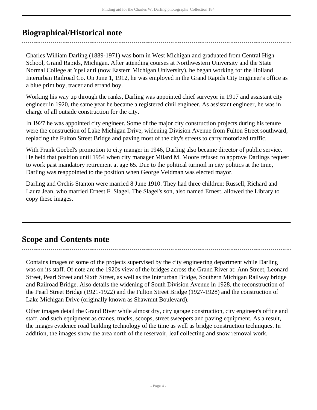## <span id="page-3-0"></span>**Biographical/Historical note**

Charles William Darling (1889-1971) was born in West Michigan and graduated from Central High School, Grand Rapids, Michigan. After attending courses at Northwestern University and the State Normal College at Ypsilanti (now Eastern Michigan University), he began working for the Holland Interurban Railroad Co. On June 1, 1912, he was employed in the Grand Rapids City Engineer's office as a blue print boy, tracer and errand boy.

Working his way up through the ranks, Darling was appointed chief surveyor in 1917 and assistant city engineer in 1920, the same year he became a registered civil engineer. As assistant engineer, he was in charge of all outside construction for the city.

In 1927 he was appointed city engineer. Some of the major city construction projects during his tenure were the construction of Lake Michigan Drive, widening Division Avenue from Fulton Street southward, replacing the Fulton Street Bridge and paving most of the city's streets to carry motorized traffic.

With Frank Goebel's promotion to city manger in 1946, Darling also became director of public service. He held that position until 1954 when city manager Milard M. Moore refused to approve Darlings request to work past mandatory retirement at age 65. Due to the political turmoil in city politics at the time, Darling was reappointed to the position when George Veldman was elected mayor.

Darling and Orchis Stanton were married 8 June 1910. They had three children: Russell, Richard and Laura Jean, who married Ernest F. Slagel. The Slagel's son, also named Ernest, allowed the Library to copy these images.

## <span id="page-3-1"></span>**Scope and Contents note**

Contains images of some of the projects supervised by the city engineering department while Darling was on its staff. Of note are the 1920s view of the bridges across the Grand River at: Ann Street, Leonard Street, Pearl Street and Sixth Street, as well as the Interurban Bridge, Southern Michigan Railway bridge and Railroad Bridge. Also details the widening of South Division Avenue in 1928, the reconstruction of the Pearl Street Bridge (1921-1922) and the Fulton Street Bridge (1927-1928) and the construction of Lake Michigan Drive (originally known as Shawmut Boulevard).

Other images detail the Grand River while almost dry, city garage construction, city engineer's office and staff, and such equipment as cranes, trucks, scoops, street sweepers and paving equipment. As a result, the images evidence road building technology of the time as well as bridge construction techniques. In addition, the images show the area north of the reservoir, leaf collecting and snow removal work.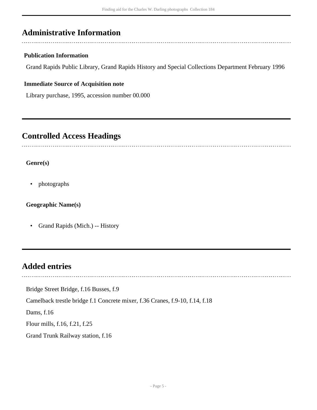## <span id="page-4-0"></span>**Administrative Information**

#### **Publication Information**

Grand Rapids Public Library, Grand Rapids History and Special Collections Department February 1996

#### **Immediate Source of Acquisition note**

Library purchase, 1995, accession number 00.000

### <span id="page-4-1"></span>**Controlled Access Headings**

#### **Genre(s)**

• photographs

**Geographic Name(s)**

• Grand Rapids (Mich.) -- History

### <span id="page-4-2"></span>**Added entries**

Bridge Street Bridge, f.16 Busses, f.9

Camelback trestle bridge f.1 Concrete mixer, f.36 Cranes, f.9-10, f.14, f.18

Dams, f.16

Flour mills, f.16, f.21, f.25

Grand Trunk Railway station, f.16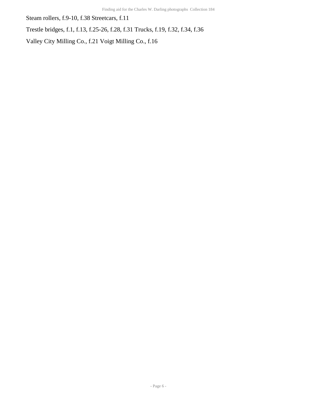Steam rollers, f.9-10, f.38 Streetcars, f.11

Trestle bridges, f.1, f.13, f.25-26, f.28, f.31 Trucks, f.19, f.32, f.34, f.36

Valley City Milling Co., f.21 Voigt Milling Co., f.16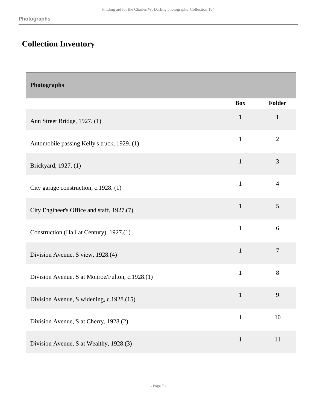## <span id="page-6-0"></span>**Collection Inventory**

<span id="page-6-1"></span>

| Photographs                                     |              |                |
|-------------------------------------------------|--------------|----------------|
|                                                 | <b>Box</b>   | Folder         |
| Ann Street Bridge, 1927. (1)                    | $\mathbf{1}$ | $\mathbf{1}$   |
| Automobile passing Kelly's truck, 1929. (1)     | $\mathbf{1}$ | $\overline{2}$ |
| Brickyard, 1927. (1)                            | $\mathbf{1}$ | 3              |
| City garage construction, c.1928. (1)           | $\mathbf{1}$ | $\overline{4}$ |
| City Engineer's Office and staff, 1927.(7)      | $\mathbf{1}$ | 5              |
| Construction (Hall at Century), 1927.(1)        | $\mathbf{1}$ | 6              |
| Division Avenue, S view, 1928.(4)               | $\mathbf{1}$ | $\tau$         |
| Division Avenue, S at Monroe/Fulton, c.1928.(1) | $\mathbf{1}$ | $8\,$          |
| Division Avenue, S widening, c.1928.(15)        | $\mathbf{1}$ | 9              |
| Division Avenue, S at Cherry, 1928.(2)          | $\mathbf{1}$ | 10             |
| Division Avenue, S at Wealthy, 1928.(3)         | $\mathbf{1}$ | 11             |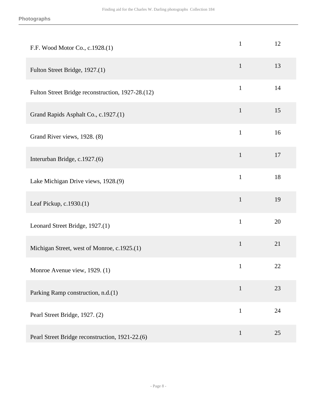| F.F. Wood Motor Co., c.1928.(1)                   | $\mathbf{1}$ | 12 |
|---------------------------------------------------|--------------|----|
| Fulton Street Bridge, 1927.(1)                    | $\mathbf{1}$ | 13 |
| Fulton Street Bridge reconstruction, 1927-28.(12) | $\mathbf{1}$ | 14 |
| Grand Rapids Asphalt Co., c.1927.(1)              | $\mathbf{1}$ | 15 |
| Grand River views, 1928. (8)                      | $\mathbf{1}$ | 16 |
| Interurban Bridge, c.1927.(6)                     | $\mathbf{1}$ | 17 |
| Lake Michigan Drive views, 1928.(9)               | $\mathbf{1}$ | 18 |
| Leaf Pickup, c.1930.(1)                           | $\mathbf{1}$ | 19 |
| Leonard Street Bridge, 1927.(1)                   | $\mathbf{1}$ | 20 |
| Michigan Street, west of Monroe, c.1925.(1)       | $\mathbf{1}$ | 21 |
| Monroe Avenue view, 1929. (1)                     | $\mathbf{1}$ | 22 |
| Parking Ramp construction, n.d.(1)                | $\mathbf{1}$ | 23 |
| Pearl Street Bridge, 1927. (2)                    | $\mathbf{1}$ | 24 |
| Pearl Street Bridge reconstruction, 1921-22.(6)   | $\mathbf{1}$ | 25 |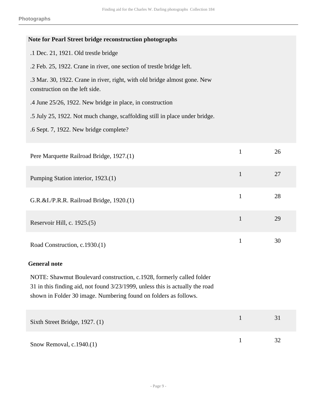| Note for Pearl Street bridge reconstruction photographs                                                                                                                                                                   |              |    |
|---------------------------------------------------------------------------------------------------------------------------------------------------------------------------------------------------------------------------|--------------|----|
| .1 Dec. 21, 1921. Old trestle bridge                                                                                                                                                                                      |              |    |
| .2 Feb. 25, 1922. Crane in river, one section of trestle bridge left.                                                                                                                                                     |              |    |
| .3 Mar. 30, 1922. Crane in river, right, with old bridge almost gone. New<br>construction on the left side.                                                                                                               |              |    |
| .4 June 25/26, 1922. New bridge in place, in construction                                                                                                                                                                 |              |    |
| .5 July 25, 1922. Not much change, scaffolding still in place under bridge.                                                                                                                                               |              |    |
| .6 Sept. 7, 1922. New bridge complete?                                                                                                                                                                                    |              |    |
| Pere Marquette Railroad Bridge, 1927.(1)                                                                                                                                                                                  | $\mathbf{1}$ | 26 |
| Pumping Station interior, 1923.(1)                                                                                                                                                                                        | $\mathbf{1}$ | 27 |
| G.R.&I./P.R.R. Railroad Bridge, 1920.(1)                                                                                                                                                                                  | $\mathbf{1}$ | 28 |
| Reservoir Hill, c. 1925.(5)                                                                                                                                                                                               | $\mathbf{1}$ | 29 |
| Road Construction, c.1930.(1)                                                                                                                                                                                             | $\mathbf{1}$ | 30 |
| <b>General note</b>                                                                                                                                                                                                       |              |    |
| NOTE: Shawmut Boulevard construction, c.1928, formerly called folder<br>31 in this finding aid, not found 3/23/1999, unless this is actually the road<br>shown in Folder 30 image. Numbering found on folders as follows. |              |    |
| Sixth Street Bridge, 1927. (1)                                                                                                                                                                                            | $\mathbf{1}$ | 31 |
| Snow Removal, c.1940.(1)                                                                                                                                                                                                  | $\mathbf{1}$ | 32 |